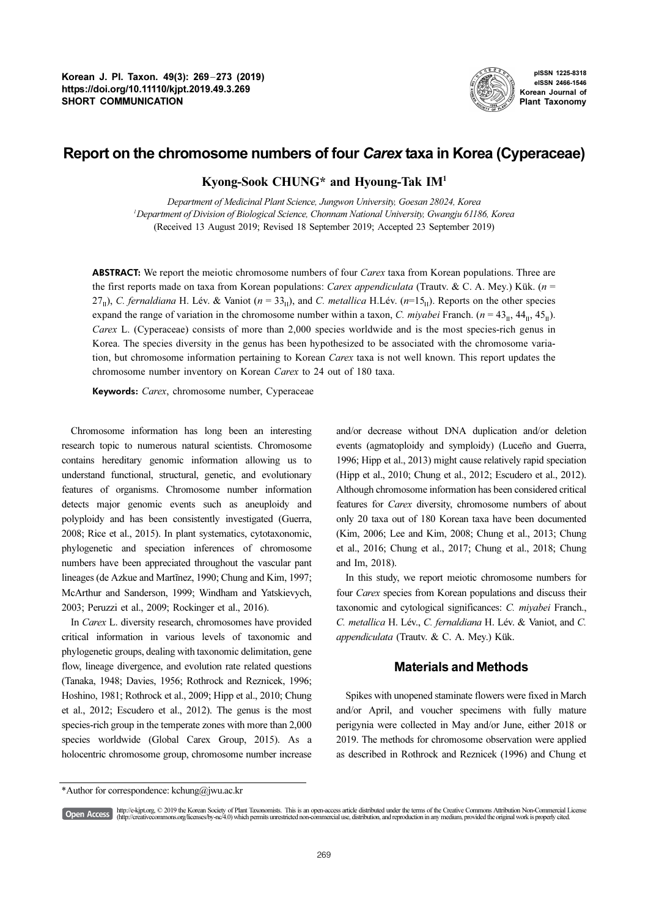

pISSN 1225-8318 eISSN 2466-1546 Korean Journal of Plant Taxonomy

# Report on the chromosome numbers of four Carex taxa in Korea (Cyperaceae)

# Kyong-Sook CHUNG\* and Hyoung-Tak IM<sup>1</sup>

Department of Medicinal Plant Science, Jungwon University, Goesan 28024, Korea 1 Department of Division of Biological Science, Chonnam National University, Gwangju 61186, Korea (Received 13 August 2019; Revised 18 September 2019; Accepted 23 September 2019)

**ABSTRACT:** We report the meiotic chromosome numbers of four *Carex* taxa from Korean populations. Three are the first reports made on taxa from Korean populations: Carex appendiculata (Trautv. & C. A. Mey.) Kük. ( $n =$ 27<sub>II</sub>), C. fernaldiana H. Lév. & Vaniot ( $n = 33$ <sub>II</sub>), and C. metallica H.Lév. ( $n=15$ <sub>II</sub>). Reports on the other species expand the range of variation in the chromosome number within a taxon, C. miyabei Franch. ( $n = 43_{\text{II}}$ ,  $44_{\text{II}}$ ,  $45_{\text{II}}$ ). Carex L. (Cyperaceae) consists of more than 2,000 species worldwide and is the most species-rich genus in Korea. The species diversity in the genus has been hypothesized to be associated with the chromosome variation, but chromosome information pertaining to Korean Carex taxa is not well known. This report updates the chromosome number inventory on Korean Carex to 24 out of 180 taxa.

Keywords: Carex, chromosome number, Cyperaceae

Chromosome information has long been an interesting research topic to numerous natural scientists. Chromosome contains hereditary genomic information allowing us to understand functional, structural, genetic, and evolutionary features of organisms. Chromosome number information detects major genomic events such as aneuploidy and polyploidy and has been consistently investigated (Guerra, 2008; Rice et al., 2015). In plant systematics, cytotaxonomic, phylogenetic and speciation inferences of chromosome numbers have been appreciated throughout the vascular pant lineages (de Azkue and Martĩnez, 1990; Chung and Kim, 1997; McArthur and Sanderson, 1999; Windham and Yatskievych, 2003; Peruzzi et al., 2009; Rockinger et al., 2016).

In Carex L. diversity research, chromosomes have provided critical information in various levels of taxonomic and phylogenetic groups, dealing with taxonomic delimitation, gene flow, lineage divergence, and evolution rate related questions (Tanaka, 1948; Davies, 1956; Rothrock and Reznicek, 1996; Hoshino, 1981; Rothrock et al., 2009; Hipp et al., 2010; Chung et al., 2012; Escudero et al., 2012). The genus is the most species-rich group in the temperate zones with more than 2,000 species worldwide (Global Carex Group, 2015). As a holocentric chromosome group, chromosome number increase and/or decrease without DNA duplication and/or deletion events (agmatoploidy and symploidy) (Luceño and Guerra, 1996; Hipp et al., 2013) might cause relatively rapid speciation (Hipp et al., 2010; Chung et al., 2012; Escudero et al., 2012). Although chromosome information has been considered critical features for Carex diversity, chromosome numbers of about only 20 taxa out of 180 Korean taxa have been documented (Kim, 2006; Lee and Kim, 2008; Chung et al., 2013; Chung et al., 2016; Chung et al., 2017; Chung et al., 2018; Chung and Im, 2018).

In this study, we report meiotic chromosome numbers for four Carex species from Korean populations and discuss their taxonomic and cytological significances: C. miyabei Franch., C. metallica H. Lév., C. fernaldiana H. Lév. & Vaniot, and C. appendiculata (Trautv. & C. A. Mey.) Kük.

## Materials and Methods

Spikes with unopened staminate flowers were fixed in March and/or April, and voucher specimens with fully mature perigynia were collected in May and/or June, either 2018 or 2019. The methods for chromosome observation were applied as described in Rothrock and Reznicek (1996) and Chung et

http://e-kjpt.org, © 2019 the Korean Society of Plant Taxonomists. This is an open-access article distributed under the terms of the Creative Commons Attribution Non-Commercial License [Open Access] (http://creativecommons.org/licenses/by-nc/4.0) which permits unrestricted non-commercial use, distribution, and reproduction in any medium, provided the original work is properly cited.

<sup>\*</sup>Author for correspondence: kchung@jwu.ac.kr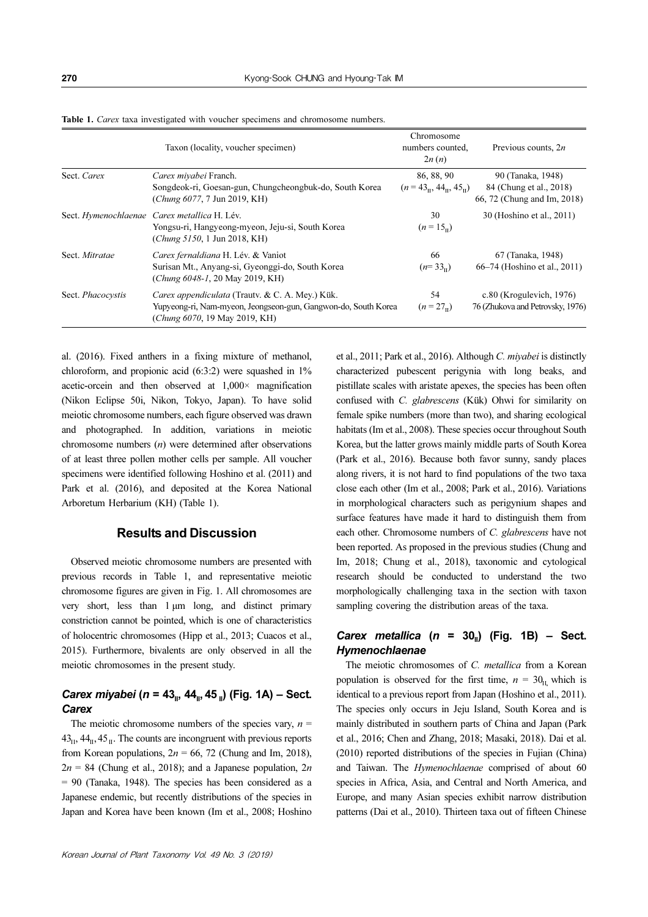|                          | Taxon (locality, voucher specimen)                                                                                                                 | Chromosome<br>numbers counted.<br>2n(n)                              | Previous counts, $2n$                                                       |
|--------------------------|----------------------------------------------------------------------------------------------------------------------------------------------------|----------------------------------------------------------------------|-----------------------------------------------------------------------------|
| Sect. Carex              | Carex miyabei Franch.<br>Songdeok-ri, Goesan-gun, Chungcheongbuk-do, South Korea<br>(Chung 6077, 7 Jun 2019, KH)                                   | 86, 88, 90<br>$(n = 43_{\text{II}}, 44_{\text{II}}, 45_{\text{II}})$ | 90 (Tanaka, 1948)<br>84 (Chung et al., 2018)<br>66, 72 (Chung and Im, 2018) |
|                          | Sect. Hymenochlaenae Carex metallica H. Lév.<br>Yongsu-ri, Hangyeong-myeon, Jeju-si, South Korea<br>(Chung 5150, 1 Jun 2018, KH)                   | 30<br>$(n = 15_n)$                                                   | 30 (Hoshino et al., 2011)                                                   |
| Sect. Mitratae           | Carex fernaldiana H. Lév. & Vaniot<br>Surisan Mt., Anyang-si, Gyeonggi-do, South Korea<br>(Chung 6048-1, 20 May 2019, KH)                          | 66<br>$(n=33)$                                                       | 67 (Tanaka, 1948)<br>66–74 (Hoshino et al., 2011)                           |
| Sect. <i>Phacocystis</i> | Carex appendiculata (Trauty. & C. A. Mey.) Kük.<br>Yupyeong-ri, Nam-myeon, Jeongseon-gun, Gangwon-do, South Korea<br>(Chung 6070, 19 May 2019, KH) | 54<br>$(n = 27)$                                                     | $c.80$ (Krogulevich, 1976)<br>76 (Zhukova and Petrovsky, 1976)              |

Table 1. Carex taxa investigated with voucher specimens and chromosome numbers.

al. (2016). Fixed anthers in a fixing mixture of methanol, chloroform, and propionic acid (6:3:2) were squashed in 1% acetic-orcein and then observed at 1,000× magnification (Nikon Eclipse 50i, Nikon, Tokyo, Japan). To have solid meiotic chromosome numbers, each figure observed was drawn and photographed. In addition, variations in meiotic chromosome numbers  $(n)$  were determined after observations of at least three pollen mother cells per sample. All voucher specimens were identified following Hoshino et al. (2011) and Park et al. (2016), and deposited at the Korea National Arboretum Herbarium (KH) (Table 1).

## Results and Discussion

Observed meiotic chromosome numbers are presented with previous records in Table 1, and representative meiotic chromosome figures are given in Fig. 1. All chromosomes are very short, less than 1 μm long, and distinct primary constriction cannot be pointed, which is one of characteristics of holocentric chromosomes (Hipp et al., 2013; Cuacos et al., 2015). Furthermore, bivalents are only observed in all the meiotic chromosomes in the present study.

## Carex miyabei (n = 43<sub>II</sub>, 44<sub>II</sub>, 45<sub>II</sub>) (Fig. 1A) – Sect. **Carex**

The meiotic chromosome numbers of the species vary,  $n =$  $43<sub>II</sub>$ ,  $44<sub>II</sub>$ ,  $45<sub>II</sub>$ . The counts are incongruent with previous reports from Korean populations,  $2n = 66$ , 72 (Chung and Im, 2018),  $2n = 84$  (Chung et al., 2018); and a Japanese population, 2n  $= 90$  (Tanaka, 1948). The species has been considered as a Japanese endemic, but recently distributions of the species in Japan and Korea have been known (Im et al., 2008; Hoshino et al., 2011; Park et al., 2016). Although C. miyabei is distinctly characterized pubescent perigynia with long beaks, and pistillate scales with aristate apexes, the species has been often confused with C. glabrescens (Kük) Ohwi for similarity on female spike numbers (more than two), and sharing ecological habitats (Im et al., 2008). These species occur throughout South Korea, but the latter grows mainly middle parts of South Korea (Park et al., 2016). Because both favor sunny, sandy places along rivers, it is not hard to find populations of the two taxa close each other (Im et al., 2008; Park et al., 2016). Variations in morphological characters such as perigynium shapes and surface features have made it hard to distinguish them from each other. Chromosome numbers of C. glabrescens have not been reported. As proposed in the previous studies (Chung and Im, 2018; Chung et al., 2018), taxonomic and cytological research should be conducted to understand the two morphologically challenging taxa in the section with taxon sampling covering the distribution areas of the taxa.

## Carex metallica ( $n = 30<sub>ii</sub>$ ) (Fig. 1B) – Sect. Hymenochlaenae

The meiotic chromosomes of C. metallica from a Korean population is observed for the first time,  $n = 30<sub>II</sub>$  which is identical to a previous report from Japan (Hoshino et al., 2011). The species only occurs in Jeju Island, South Korea and is mainly distributed in southern parts of China and Japan (Park et al., 2016; Chen and Zhang, 2018; Masaki, 2018). Dai et al. (2010) reported distributions of the species in Fujian (China) and Taiwan. The Hymenochlaenae comprised of about 60 species in Africa, Asia, and Central and North America, and Europe, and many Asian species exhibit narrow distribution patterns (Dai et al., 2010). Thirteen taxa out of fifteen Chinese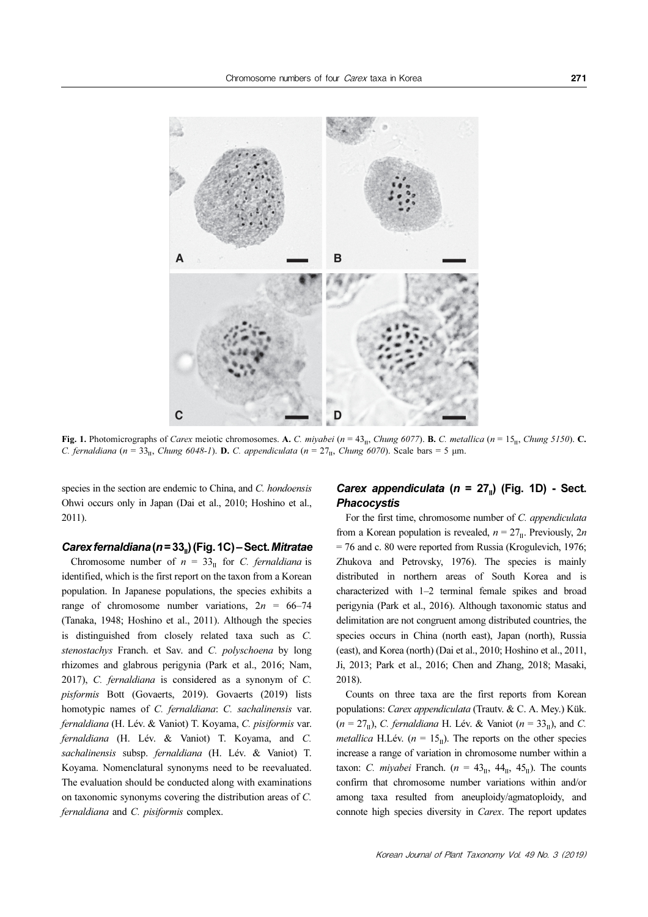

Fig. 1. Photomicrographs of Carex meiotic chromosomes. A. C. miyabei (n =  $43<sub>II</sub>$ , Chung 6077). B. C. metallica (n =  $15<sub>II</sub>$ , Chung 5150). C. C. fernaldiana (n = 33<sub>II</sub>, Chung 6048-1). **D.** C. appendiculata (n =  $27_{\text{II}}$ , Chung 6070). Scale bars = 5 µm.

species in the section are endemic to China, and C. hondoensis Ohwi occurs only in Japan (Dai et al., 2010; Hoshino et al., 2011).

#### Carex fernaldiana (n =  $33<sub>ii</sub>$ ) (Fig. 1C) – Sect. Mitratae

Chromosome number of  $n = 33<sub>II</sub>$  for C. fernaldiana is identified, which is the first report on the taxon from a Korean population. In Japanese populations, the species exhibits a range of chromosome number variations,  $2n = 66-74$ (Tanaka, 1948; Hoshino et al., 2011). Although the species is distinguished from closely related taxa such as C. stenostachys Franch. et Sav. and C. polyschoena by long rhizomes and glabrous perigynia (Park et al., 2016; Nam, 2017), C. fernaldiana is considered as a synonym of C. pisformis Bott (Govaerts, 2019). Govaerts (2019) lists homotypic names of C. fernaldiana: C. sachalinensis var. fernaldiana (H. Lév. & Vaniot) T. Koyama, C. pisiformis var. fernaldiana (H. Lév. & Vaniot) T. Koyama, and C. sachalinensis subsp. fernaldiana (H. Lév. & Vaniot) T. Koyama. Nomenclatural synonyms need to be reevaluated. The evaluation should be conducted along with examinations on taxonomic synonyms covering the distribution areas of C. fernaldiana and C. pisiformis complex.

## Carex appendiculata ( $n = 27<sub>II</sub>$ ) (Fig. 1D) - Sect. **Phacocystis**

For the first time, chromosome number of C. appendiculata from a Korean population is revealed,  $n = 27<sub>II</sub>$ . Previously,  $2n$ = 76 and c. 80 were reported from Russia (Krogulevich, 1976; Zhukova and Petrovsky, 1976). The species is mainly distributed in northern areas of South Korea and is characterized with 1–2 terminal female spikes and broad perigynia (Park et al., 2016). Although taxonomic status and delimitation are not congruent among distributed countries, the species occurs in China (north east), Japan (north), Russia (east), and Korea (north) (Dai et al., 2010; Hoshino et al., 2011, Ji, 2013; Park et al., 2016; Chen and Zhang, 2018; Masaki, 2018).

Counts on three taxa are the first reports from Korean populations: Carex appendiculata (Trautv. & C. A. Mey.) Kük.  $(n = 27<sub>II</sub>)$ , C. fernaldiana H. Lév. & Vaniot  $(n = 33<sub>II</sub>)$ , and C. *metallica* H.Lév. ( $n = 15<sub>II</sub>$ ). The reports on the other species increase a range of variation in chromosome number within a taxon: C. miyabei Franch. ( $n = 43<sub>II</sub>$ ,  $44<sub>II</sub>$ ,  $45<sub>II</sub>$ ). The counts confirm that chromosome number variations within and/or among taxa resulted from aneuploidy/agmatoploidy, and connote high species diversity in Carex. The report updates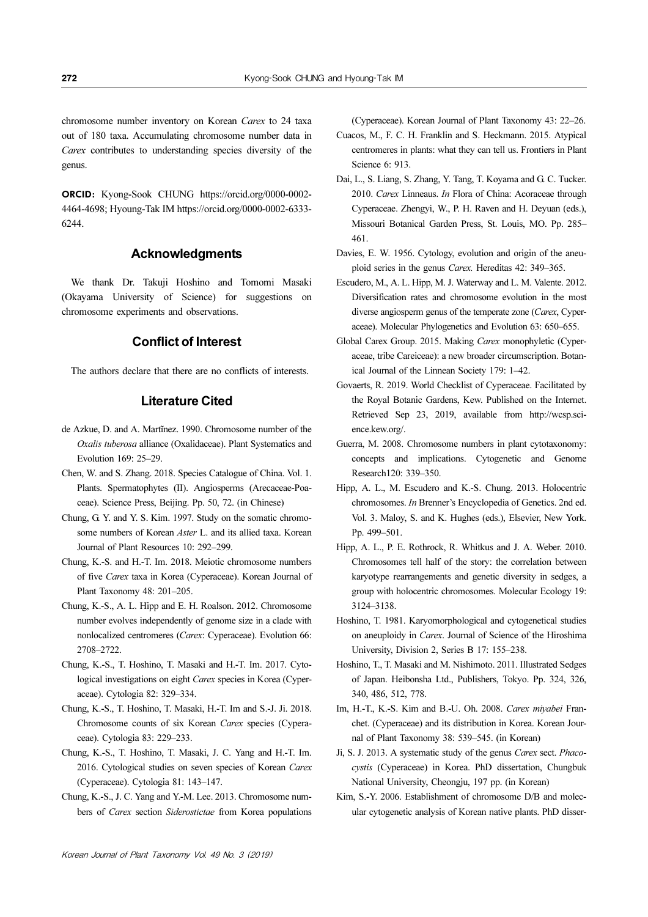chromosome number inventory on Korean Carex to 24 taxa

out of 180 taxa. Accumulating chromosome number data in Carex contributes to understanding species diversity of the genus.

ORCID: Kyong-Sook CHUNG https://orcid.org/0000-0002- 4464-4698; Hyoung-Tak IM https://orcid.org/0000-0002-6333- 6244.

## Acknowledgments

We thank Dr. Takuji Hoshino and Tomomi Masaki (Okayama University of Science) for suggestions on chromosome experiments and observations.

## Conflict of Interest

The authors declare that there are no conflicts of interests.

# Literature Cited

- de Azkue, D. and A. Martĩnez. 1990. Chromosome number of the Oxalis tuberosa alliance (Oxalidaceae). Plant Systematics and Evolution 169: 25–29.
- Chen, W. and S. Zhang. 2018. Species Catalogue of China. Vol. 1. Plants. Spermatophytes (II). Angiosperms (Arecaceae-Poaceae). Science Press, Beijing. Pp. 50, 72. (in Chinese)
- Chung, G. Y. and Y. S. Kim. 1997. Study on the somatic chromosome numbers of Korean Aster L. and its allied taxa. Korean Journal of Plant Resources 10: 292–299.
- Chung, K.-S. and H.-T. Im. 2018. Meiotic chromosome numbers of five Carex taxa in Korea (Cyperaceae). Korean Journal of Plant Taxonomy 48: 201–205.
- Chung, K.-S., A. L. Hipp and E. H. Roalson. 2012. Chromosome number evolves independently of genome size in a clade with nonlocalized centromeres (Carex: Cyperaceae). Evolution 66: 2708–2722.
- Chung, K.-S., T. Hoshino, T. Masaki and H.-T. Im. 2017. Cytological investigations on eight Carex species in Korea (Cyperaceae). Cytologia 82: 329–334.
- Chung, K.-S., T. Hoshino, T. Masaki, H.-T. Im and S.-J. Ji. 2018. Chromosome counts of six Korean Carex species (Cyperaceae). Cytologia 83: 229–233.
- Chung, K.-S., T. Hoshino, T. Masaki, J. C. Yang and H.-T. Im. 2016. Cytological studies on seven species of Korean Carex (Cyperaceae). Cytologia 81: 143–147.
- Chung, K.-S., J. C. Yang and Y.-M. Lee. 2013. Chromosome numbers of Carex section Siderostictae from Korea populations

(Cyperaceae). Korean Journal of Plant Taxonomy 43: 22–26.

Cuacos, M., F. C. H. Franklin and S. Heckmann. 2015. Atypical centromeres in plants: what they can tell us. Frontiers in Plant Science 6: 913.

- Dai, L., S. Liang, S. Zhang, Y. Tang, T. Koyama and G. C. Tucker. 2010. Carex Linneaus. In Flora of China: Acoraceae through Cyperaceae. Zhengyi, W., P. H. Raven and H. Deyuan (eds.), Missouri Botanical Garden Press, St. Louis, MO. Pp. 285– 461.
- Davies, E. W. 1956. Cytology, evolution and origin of the aneuploid series in the genus Carex. Hereditas 42: 349–365.
- Escudero, M., A. L. Hipp, M. J. Waterway and L. M. Valente. 2012. Diversification rates and chromosome evolution in the most diverse angiosperm genus of the temperate zone (Carex, Cyperaceae). Molecular Phylogenetics and Evolution 63: 650–655.
- Global Carex Group. 2015. Making Carex monophyletic (Cyperaceae, tribe Careiceae): a new broader circumscription. Botanical Journal of the Linnean Society 179: 1–42.
- Govaerts, R. 2019. World Checklist of Cyperaceae. Facilitated by the Royal Botanic Gardens, Kew. Published on the Internet. Retrieved Sep 23, 2019, available from http://wcsp.science.kew.org/.
- Guerra, M. 2008. Chromosome numbers in plant cytotaxonomy: concepts and implications. Cytogenetic and Genome Research120: 339–350.
- Hipp, A. L., M. Escudero and K.-S. Chung. 2013. Holocentric chromosomes. In Brenner's Encyclopedia of Genetics. 2nd ed. Vol. 3. Maloy, S. and K. Hughes (eds.), Elsevier, New York. Pp. 499–501.
- Hipp, A. L., P. E. Rothrock, R. Whitkus and J. A. Weber. 2010. Chromosomes tell half of the story: the correlation between karyotype rearrangements and genetic diversity in sedges, a group with holocentric chromosomes. Molecular Ecology 19: 3124–3138.
- Hoshino, T. 1981. Karyomorphological and cytogenetical studies on aneuploidy in Carex. Journal of Science of the Hiroshima University, Division 2, Series B 17: 155–238.
- Hoshino, T., T. Masaki and M. Nishimoto. 2011. Illustrated Sedges of Japan. Heibonsha Ltd., Publishers, Tokyo. Pp. 324, 326, 340, 486, 512, 778.
- Im, H.-T., K.-S. Kim and B.-U. Oh. 2008. Carex miyabei Franchet. (Cyperaceae) and its distribution in Korea. Korean Journal of Plant Taxonomy 38: 539–545. (in Korean)
- Ji, S. J. 2013. A systematic study of the genus Carex sect. Phacocystis (Cyperaceae) in Korea. PhD dissertation, Chungbuk National University, Cheongju, 197 pp. (in Korean)
- Kim, S.-Y. 2006. Establishment of chromosome D/B and molecular cytogenetic analysis of Korean native plants. PhD disser-